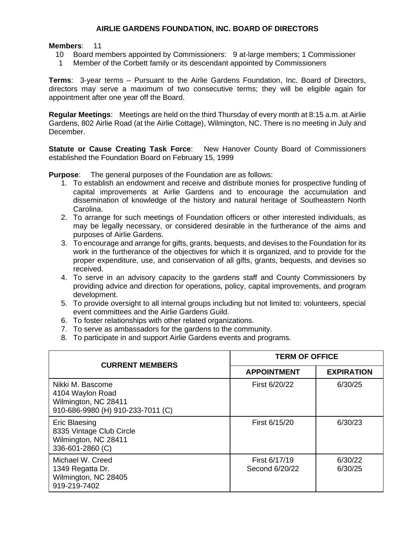## **AIRLIE GARDENS FOUNDATION, INC. BOARD OF DIRECTORS**

## **Members**: 11

- 10 Board members appointed by Commissioners: 9 at-large members; 1 Commissioner
- 1 Member of the Corbett family or its descendant appointed by Commissioners

**Terms**: 3-year terms – Pursuant to the Airlie Gardens Foundation, Inc. Board of Directors, directors may serve a maximum of two consecutive terms; they will be eligible again for appointment after one year off the Board.

**Regular Meetings**: Meetings are held on the third Thursday of every month at 8:15 a.m. at Airlie Gardens, 802 Airlie Road (at the Airlie Cottage), Wilmington, NC. There is no meeting in July and December.

**Statute or Cause Creating Task Force:** New Hanover County Board of Commissioners established the Foundation Board on February 15, 1999

**Purpose**: The general purposes of the Foundation are as follows:

- 1. To establish an endowment and receive and distribute monies for prospective funding of capital improvements at Airlie Gardens and to encourage the accumulation and dissemination of knowledge of the history and natural heritage of Southeastern North Carolina.
- 2. To arrange for such meetings of Foundation officers or other interested individuals, as may be legally necessary, or considered desirable in the furtherance of the aims and purposes of Airlie Gardens.
- 3. To encourage and arrange for gifts, grants, bequests, and devises to the Foundation for its work in the furtherance of the objectives for which it is organized, and to provide for the proper expenditure, use, and conservation of all gifts, grants, bequests, and devises so received.
- 4. To serve in an advisory capacity to the gardens staff and County Commissioners by providing advice and direction for operations, policy, capital improvements, and program development.
- 5. To provide oversight to all internal groups including but not limited to: volunteers, special event committees and the Airlie Gardens Guild.
- 6. To foster relationships with other related organizations.
- 7. To serve as ambassadors for the gardens to the community.
- 8. To participate in and support Airlie Gardens events and programs.

| <b>CURRENT MEMBERS</b>                                                                            | <b>TERM OF OFFICE</b>           |                    |
|---------------------------------------------------------------------------------------------------|---------------------------------|--------------------|
|                                                                                                   | <b>APPOINTMENT</b>              | <b>EXPIRATION</b>  |
| Nikki M. Bascome<br>4104 Waylon Road<br>Wilmington, NC 28411<br>910-686-9980 (H) 910-233-7011 (C) | First 6/20/22                   | 6/30/25            |
| <b>Eric Blaesing</b><br>8335 Vintage Club Circle<br>Wilmington, NC 28411<br>336-601-2860 (C)      | First 6/15/20                   | 6/30/23            |
| Michael W. Creed<br>1349 Regatta Dr.<br>Wilmington, NC 28405<br>919-219-7402                      | First 6/17/19<br>Second 6/20/22 | 6/30/22<br>6/30/25 |